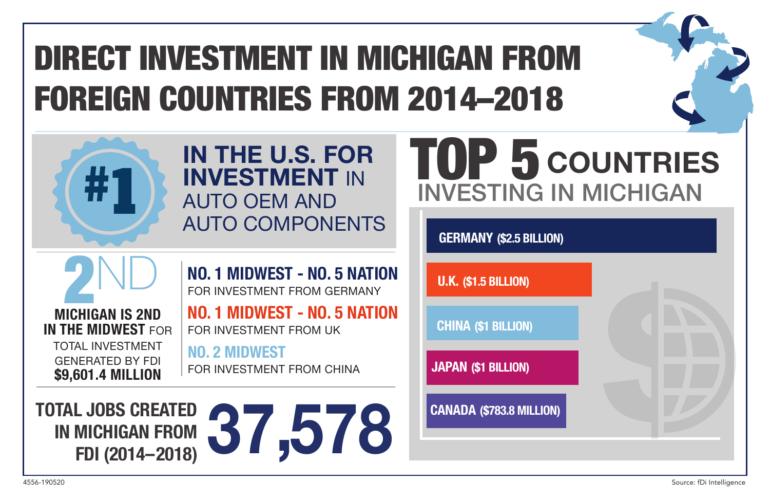# DIRECT INVESTMENT IN MICHIGAN FROM FOREIGN COUNTRIES FROM 2014–2018



# **IN THE U.S. FOR INVESTMENT** IN AUTO OEM AND AUTO COMPONENTS

**NO. 1 MIDWEST - NO. 5 NATION** FOR INVESTMENT FROM GERMANY **NO. 1 MIDWEST - NO. 5 NATION**

# TOP 5 **COUNTRIES** INVESTING IN MICHIGAN

**GERMANY (\$2.5 BILLION)**

**U.K. (\$1.5 BILLION)**

**CHINA (\$1 BILLION)**

**JAPAN (\$1 BILLION)**

**CANADA (\$783.8 MILLION)**

**PND**<br>MICHIGAN IS 2ND **IN THE MIDWEST FOR** TOTAL INVESTMENT GENERATED BY FDI **\$9,601.4 MILLION**

FOR INVESTMENT FROM UK **NO. 2 MIDWEST**

FOR INVESTMENT FROM CHINA

**TOTAL JOBS CREATED IN MICHIGAN FROM EXPRESS CREATED 37,578**